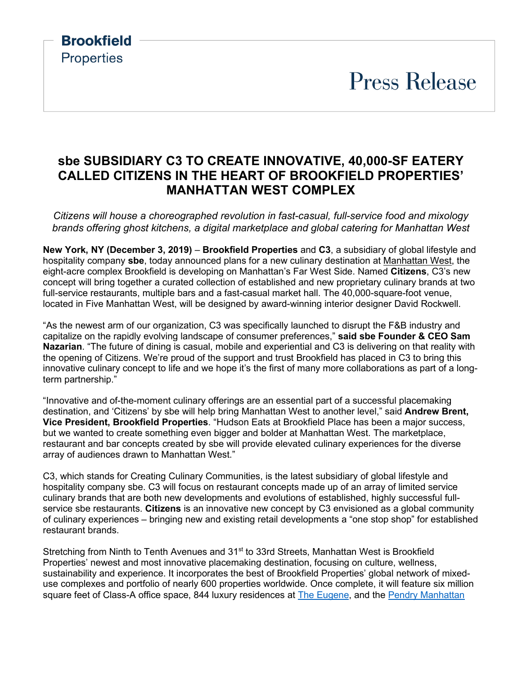**Press Release** 

### **sbe SUBSIDIARY C3 TO CREATE INNOVATIVE, 40,000-SF EATERY CALLED CITIZENS IN THE HEART OF BROOKFIELD PROPERTIES' MANHATTAN WEST COMPLEX**

**Brookfield** 

**Properties** 

*Citizens will house a choreographed revolution in fast-casual, full-service food and mixology brands offering ghost kitchens, a digital marketplace and global catering for Manhattan West* 

**New York, NY (December 3, 2019)** – **Brookfield Properties** and **C3**, a subsidiary of global lifestyle and hospitality company **sbe**, today announced plans for a new culinary destination at [Manhattan West,](https://www.manhattanwestnyc.com/) the eight-acre complex Brookfield is developing on Manhattan's Far West Side. Named **Citizens**, C3's new concept will bring together a curated collection of established and new proprietary culinary brands at two full-service restaurants, multiple bars and a fast-casual market hall. The 40,000-square-foot venue, located in Five Manhattan West, will be designed by award-winning interior designer David Rockwell.

"As the newest arm of our organization, C3 was specifically launched to disrupt the F&B industry and capitalize on the rapidly evolving landscape of consumer preferences," **said sbe Founder & CEO Sam Nazarian**. "The future of dining is casual, mobile and experiential and C3 is delivering on that reality with the opening of Citizens. We're proud of the support and trust Brookfield has placed in C3 to bring this innovative culinary concept to life and we hope it's the first of many more collaborations as part of a longterm partnership."

"Innovative and of-the-moment culinary offerings are an essential part of a successful placemaking destination, and 'Citizens' by sbe will help bring Manhattan West to another level," said **Andrew Brent, Vice President, Brookfield Properties**. "Hudson Eats at Brookfield Place has been a major success, but we wanted to create something even bigger and bolder at Manhattan West. The marketplace, restaurant and bar concepts created by sbe will provide elevated culinary experiences for the diverse array of audiences drawn to Manhattan West."

C3, which stands for Creating Culinary Communities, is the latest subsidiary of global lifestyle and hospitality company sbe. C3 will focus on restaurant concepts made up of an array of limited service culinary brands that are both new developments and evolutions of established, highly successful fullservice sbe restaurants. **Citizens** is an innovative new concept by C3 envisioned as a global community of culinary experiences – bringing new and existing retail developments a "one stop shop" for established restaurant brands.

Stretching from Ninth to Tenth Avenues and 31<sup>st</sup> to 33rd Streets, Manhattan West is Brookfield Properties' newest and most innovative placemaking destination, focusing on culture, wellness, sustainability and experience. It incorporates the best of Brookfield Properties' global network of mixeduse complexes and portfolio of nearly 600 properties worldwide. Once complete, it will feature six million square feet of Class-A office space, 844 luxury residences at [The Eugene,](https://theeugenenyc.com/) and the Pendry Manhattan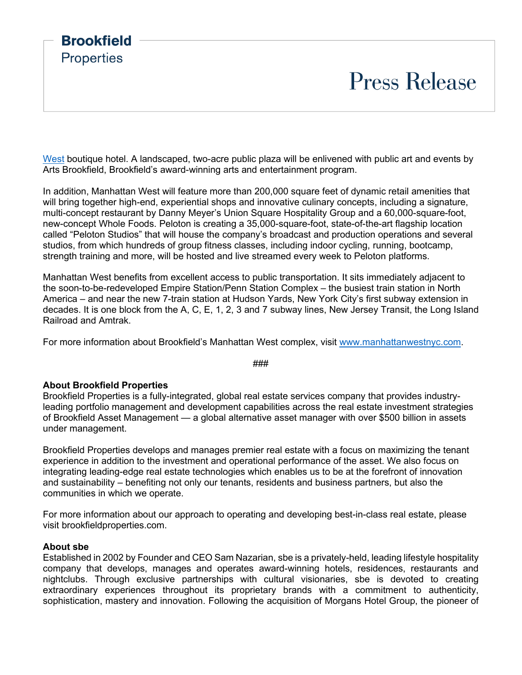## **Press Release**

[West](https://www.pendry.com/manhattan-west/) boutique hotel. A landscaped, two-acre public plaza will be enlivened with public art and events by Arts Brookfield, Brookfield's award-winning arts and entertainment program.

In addition, Manhattan West will feature more than 200,000 square feet of dynamic retail amenities that will bring together high-end, experiential shops and innovative culinary concepts, including a signature, multi-concept restaurant by Danny Meyer's Union Square Hospitality Group and a 60,000-square-foot, new-concept Whole Foods. Peloton is creating a 35,000-square-foot, state-of-the-art flagship location called "Peloton Studios" that will house the company's broadcast and production operations and several studios, from which hundreds of group fitness classes, including indoor cycling, running, bootcamp, strength training and more, will be hosted and live streamed every week to Peloton platforms.

Manhattan West benefits from excellent access to public transportation. It sits immediately adjacent to the soon-to-be-redeveloped Empire Station/Penn Station Complex – the busiest train station in North America – and near the new 7-train station at Hudson Yards, New York City's first subway extension in decades. It is one block from the A, C, E, 1, 2, 3 and 7 subway lines, New Jersey Transit, the Long Island Railroad and Amtrak.

For more information about Brookfield's Manhattan West complex, visit [www.manhattanwestnyc.com.](http://www.manhattanwestnyc.com/)

###

#### **About Brookfield Properties**

**Brookfield** 

**Properties** 

Brookfield Properties is a fully-integrated, global real estate services company that provides industryleading portfolio management and development capabilities across the real estate investment strategies of Brookfield Asset Management — a global alternative asset manager with over \$500 billion in assets under management.

Brookfield Properties develops and manages premier real estate with a focus on maximizing the tenant experience in addition to the investment and operational performance of the asset. We also focus on integrating leading-edge real estate technologies which enables us to be at the forefront of innovation and sustainability – benefiting not only our tenants, residents and business partners, but also the communities in which we operate.

For more information about our approach to operating and developing best-in-class real estate, please visit brookfieldproperties.com.

#### **About sbe**

Established in 2002 by Founder and CEO Sam Nazarian, sbe is a privately-held, leading lifestyle hospitality company that develops, manages and operates award-winning hotels, residences, restaurants and nightclubs. Through exclusive partnerships with cultural visionaries, sbe is devoted to creating extraordinary experiences throughout its proprietary brands with a commitment to authenticity, sophistication, mastery and innovation. Following the acquisition of Morgans Hotel Group, the pioneer of